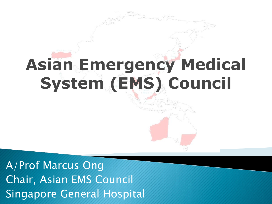# **Asian Emergency Medical System (EMS) Council**

A/Prof Marcus Ong Chair, Asian EMS Council Singapore General Hospital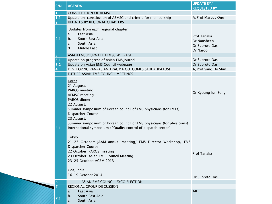|                         | <b>AGENDA</b>                                                         | <b>UPDATE BY/</b>   |
|-------------------------|-----------------------------------------------------------------------|---------------------|
| S/N                     |                                                                       | <b>REQUESTED BY</b> |
|                         | <b>CONSTITUTION OF AEMSC</b>                                          |                     |
| 1.1                     | Update on constitution of AEMSC and criteria for membership           | A/Prof Marcus Ong   |
| $\overline{2}$          | <b>UPDATES BY REGIONAL CHAPTERS</b>                                   |                     |
|                         |                                                                       |                     |
|                         | Updates from each regional chapter                                    |                     |
|                         | East Asia<br>a.                                                       | Prof Tanaka         |
| 2.1                     | South East Asia<br>b.                                                 | Dr Nausheen         |
|                         | South Asia<br>$\mathsf{C}$ .                                          | Dr Subroto Das      |
|                         | d.<br>Middle East                                                     | Dr Naroo            |
| $\overline{\mathbf{3}}$ | ASIAN EMS JOURNAL/ AEMSC WEBPAGE                                      |                     |
| 3.1                     | Update on progress of Asian EMS Journal                               | Dr Subroto Das      |
| 3.2                     | Update on Asian EMS Council webpage                                   | Dr Subroto Das      |
| $\overline{\mathbf{4}}$ | DEVELOPING PAN-ASIAN TRAUMA OUTCOMES STUDY (PATOS)                    | A/Prof Sang Do Shin |
| $\overline{5}$          | FUTURE ASIAN EMS COUNCIL MEETINGS                                     |                     |
|                         |                                                                       |                     |
|                         | <b>Korea</b>                                                          |                     |
|                         | 21 August:                                                            |                     |
|                         | PAROS meeting                                                         | Dr Kyoung Jun Song  |
|                         | <b>AEMSC</b> meeting                                                  |                     |
|                         | PAROS dinner                                                          |                     |
|                         | 22 August:                                                            |                     |
|                         | Summer symposium of Korean council of EMS physicians (for EMTs)       |                     |
|                         | Dispatcher Course                                                     |                     |
|                         | 23 August:                                                            |                     |
|                         | Summer symposium of Korean council of EMS physicians (for physicians) |                     |
| 5.1                     | International symposium : "Quality control of dispatch center"        |                     |
|                         |                                                                       |                     |
|                         | Tokyo                                                                 |                     |
|                         | 21-23 October: JAAM annual meeting/ EMS Director Workshop/ EMS        |                     |
|                         | Dispatcher Course                                                     |                     |
|                         | 22 October: PAROS meeting                                             | Prof Tanaka         |
|                         | 23 October: Asian EMS Council Meeting                                 |                     |
|                         | 23-25 October: ACEM 2013                                              |                     |
|                         |                                                                       |                     |
|                         | Goa, India                                                            |                     |
|                         | 16-19 October 2014                                                    | Dr Subroto Das      |
| $6\phantom{1}6$         | ASIAN EMS COUNCIL EXCO ELECTION                                       |                     |
| $\overline{7}$          | REGIONAL GROUP DISCUSSION                                             |                     |
|                         | East Asia<br>a.                                                       | All                 |
|                         | b.<br>South East Asia                                                 |                     |
| 7.1                     | South Asia<br>c.                                                      |                     |
|                         |                                                                       |                     |

d. Middle East Control of the East Control of the East Control of the East Control of the East Control of the E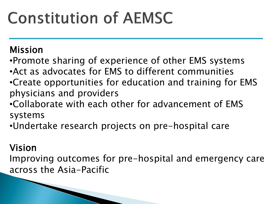#### Mission

- •Promote sharing of experience of other EMS systems
- •Act as advocates for EMS to different communities
- •Create opportunities for education and training for EMS physicians and providers
- •Collaborate with each other for advancement of EMS systems
- •Undertake research projects on pre-hospital care

### Vision

Improving outcomes for pre-hospital and emergency care across the Asia-Pacific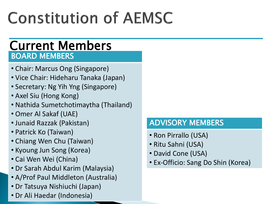### BOARD MEMBERS Current Members

- Chair: Marcus Ong (Singapore)
- Vice Chair: Hideharu Tanaka (Japan)
- Secretary: Ng Yih Yng (Singapore)
- Axel Siu (Hong Kong)
- Nathida Sumetchotimaytha (Thailand)
- Omer Al Sakaf (UAE)
- Junaid Razzak (Pakistan)
- Patrick Ko (Taiwan)
- Chiang Wen Chu (Taiwan)
- Kyoung Jun Song (Korea)
- Cai Wen Wei (China)
- Dr Sarah Abdul Karim (Malaysia)
- A/Prof Paul Middleton (Australia)
- Dr Tatsuya Nishiuchi (Japan)
- Dr Ali Haedar (Indonesia)

#### ADVISORY MEMBERS

- Ron Pirrallo (USA)
- Ritu Sahni (USA)
- David Cone (USA)
- Ex-Officio: Sang Do Shin (Korea)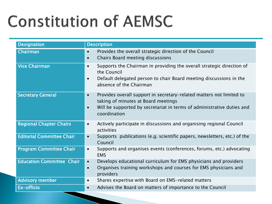| <b>Designation</b>               | <b>Description</b>                                                                                                                                                                                                              |  |  |
|----------------------------------|---------------------------------------------------------------------------------------------------------------------------------------------------------------------------------------------------------------------------------|--|--|
| Chairman                         | Provides the overall strategic direction of the Council<br>$\bullet$<br>Chairs Board meeting discussions<br>$\bullet$                                                                                                           |  |  |
| <b>Vice Chairman</b>             | Supports the Chairman in providing the overall strategic direction of<br>$\bullet$<br>the Council<br>Default delegated person to chair Board meeting discussions in the<br>$\bullet$<br>absence of the Chairman                 |  |  |
| <b>Secretary General</b>         | Provides overall support in secretary-related matters not limited to<br>$\bullet$<br>taking of minutes at Board meetings<br>Will be supported by secretariat in terms of administrative duties and<br>$\bullet$<br>coordination |  |  |
| <b>Regional Chapter Chairs</b>   | Actively participate in discussions and organising regional Council<br>$\bullet$<br>activities                                                                                                                                  |  |  |
| <b>Editorial Committee Chair</b> | Supports publications (e.g. scientific papers, newsletters, etc.) of the<br>$\bullet$<br>Council                                                                                                                                |  |  |
| <b>Program Committee Chair</b>   | Supports and organises events (conferences, forums, etc.) advocating<br>$\bullet$<br><b>EMS</b>                                                                                                                                 |  |  |
| <b>Education Committee Chair</b> | Develops educational curriculum for EMS physicians and providers<br>$\bullet$<br>Organises training workshops and courses for EMS physicians and<br>$\bullet$<br>providers                                                      |  |  |
| <b>Advisory member</b>           | Shares expertise with Board on EMS-related matters<br>$\bullet$                                                                                                                                                                 |  |  |
| Ex-officio                       | Advises the Board on matters of importance to the Council<br>$\bullet$                                                                                                                                                          |  |  |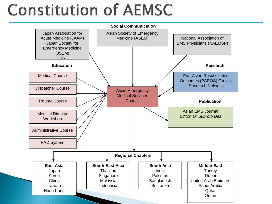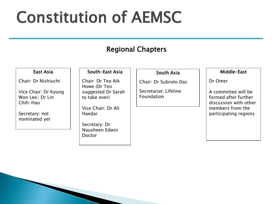#### Regional Chapters

#### East Asia

Chair: Dr Nishiuchi

Vice Chair: Dr Kyung Won Lee/ Dr Lin Chih-Hao

Secretary: not nominated yet

#### South-East Asia

Chair: Dr Teo Aik Howe (Dr Teo suggested Dr Sarah to take over)

Vice Chair: Dr Ali Haedar

Secretary: Dr Nausheen Edwin Doctor

#### South Asia

Chair: Dr Subroto Das

Secretariat: Lifeline Foundation

#### Middle-East

Dr Omer

A committee will be formed after further discussion with other members from the participating regions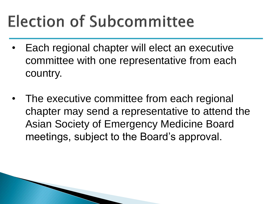## **Election of Subcommittee**

- Each regional chapter will elect an executive committee with one representative from each country.
- The executive committee from each regional chapter may send a representative to attend the Asian Society of Emergency Medicine Board meetings, subject to the Board's approval.